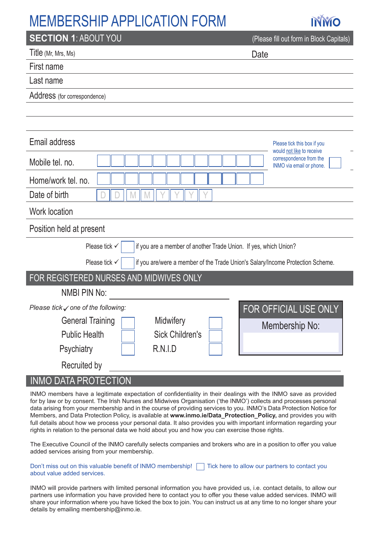## MEMBERSHIP APPLICATION FORM



| <b>SECTION 1: ABOUT YOU</b>                                                                     | (Please fill out form in Block Capitals)                                         |
|-------------------------------------------------------------------------------------------------|----------------------------------------------------------------------------------|
| Title (Mr, Mrs, Ms)                                                                             | Date                                                                             |
| First name                                                                                      |                                                                                  |
| Last name                                                                                       |                                                                                  |
| Address (for correspondence)                                                                    |                                                                                  |
|                                                                                                 |                                                                                  |
|                                                                                                 |                                                                                  |
| Email address                                                                                   | Please tick this box if you                                                      |
| Mobile tel. no.                                                                                 | would not like to receive<br>correspondence from the<br>INMO via email or phone. |
| Home/work tel. no.                                                                              |                                                                                  |
| Date of birth                                                                                   |                                                                                  |
| <b>Work location</b>                                                                            |                                                                                  |
| Position held at present                                                                        |                                                                                  |
| Please tick √<br>if you are a member of another Trade Union. If yes, which Union?               |                                                                                  |
| Please tick √<br>if you are/were a member of the Trade Union's Salary/Income Protection Scheme. |                                                                                  |
| FOR REGISTERED NURSES AND MIDWIVES ONLY                                                         |                                                                                  |
| <b>NMBI PIN No:</b>                                                                             |                                                                                  |
| Please tick $\checkmark$ one of the following:                                                  | FOR OFFICIAL USE ONLY                                                            |
| <b>General Training</b><br>Midwifery                                                            | Membership No:                                                                   |
| <b>Sick Children's</b><br><b>Public Health</b>                                                  |                                                                                  |
| <b>Psychiatry</b><br><b>R.N.I.D</b>                                                             |                                                                                  |
| Recruited by                                                                                    |                                                                                  |

#### INMO DATA PROTECTION

INMO members have a legitimate expectation of confidentiality in their dealings with the INMO save as provided for by law or by consent. The Irish Nurses and Midwives Organisation ('the INMO') collects and processes personal data arising from your membership and in the course of providing services to you. INMO's Data Protection Notice for Members, and Data Protection Policy, is available at **www.inmo.ie/Data\_Protection\_Policy,** and provides you with full details about how we process your personal data. It also provides you with important information regarding your rights in relation to the personal data we hold about you and how you can exercise those rights.

The Executive Council of the INMO carefully selects companies and brokers who are in a position to offer you value added services arising from your membership.

Don't miss out on this valuable benefit of INMO membership! Thick here to allow our partners to contact you about value added services.

INMO will provide partners with limited personal information you have provided us, i.e. contact details, to allow our partners use information you have provided here to contact you to offer you these value added services. INMO will share your information where you have ticked the box to join. You can instruct us at any time to no longer share your details by emailing membership@inmo.ie.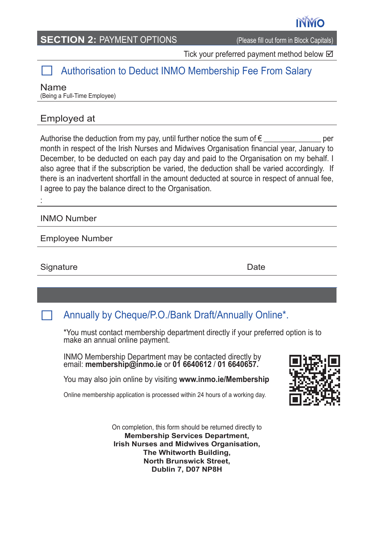#### **SECTION 2: PAYMENT OPTIONS** (Please fill out form in Block Capitals)

Tick your preferred payment method below  $\boxtimes$ 

### Authorisation to Deduct INMO Membership Fee From Salary

Name (Being a Full-Time Employee)

#### Employed at

Authorise the deduction from my pay, until further notice the sum of  $\epsilon$ month in respect of the Irish Nurses and Midwives Organisation financial year, January to December, to be deducted on each pay day and paid to the Organisation on my behalf. I also agree that if the subscription be varied, the deduction shall be varied accordingly. If there is an inadvertent shortfall in the amount deducted at source in respect of annual fee, I agree to pay the balance direct to the Organisation.

INMO Number

:

Employee Number

Signature: Date **Date** 

### Annually by Cheque/P.O./Bank Draft/Annually Online\*.

\*You must contact membership department directly if your preferred option is to make an annual online payment.

INMO Membership Department may be contacted directly by email: **membership@inmo.ie** or **01 6640612** / **01 6640657.**

You may also join online by visiting **www.inmo.ie/Membership**

Online membership application is processed within 24 hours of a working day.



On completion, this form should be returned directly to **Membership Services Department, Irish Nurses and Midwives Organisation, The Whitworth Building, North Brunswick Street, Dublin 7, D07 NP8H**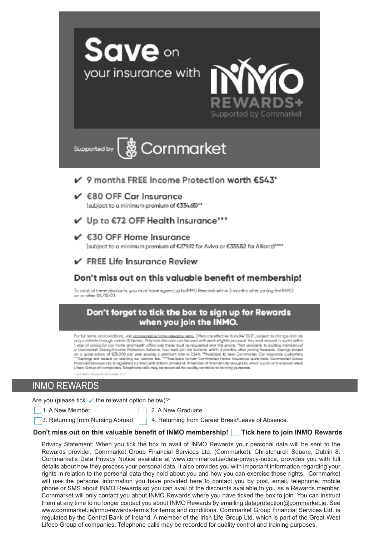



Supported by

# -<br>※ Cornmarket

- √ 9 months FREE Income Protection worth €543\*
- $V$  680 OFF Car Insurance

(subject to a minimum premium of €334.65)\*\*

- √ Up to €72 OFF Health Insurance\*\*\*
- $\checkmark$   $\in$  30 OFF Home Insurance

(subject to a minimum premium of €279.92 for Aviva or €335.52 for Allianz)\*\*\*\*

#### $\checkmark$  FREE Life Insurance Review

#### Don't miss out on this valuable benefit of membership!

To avail of these discounts, you must have signed up to INMO Rewards within 3 months after joining the INMO on or ofter 06/10/21

#### Don't forget to tick the box to sign up for Rewards when you join the INMO.

For full terms and conditions, visit commaniertie frame-sewards-terms. Offers are effective from 04/10/21, subject to change and are For turners and constructions. We cannot Decime the control of the self-english protocol. You must request a quote within the control of the control of the control of the control of the control of the control of the contro Financial Services Ltd. is requisited by the Central Bank of Instand. Amember of the Irish Life Group Ltd. which is part of the Great-West Liteco Group of compones. Telephone calls may be recorded for quality control and training purposes

do not la VASA TI-2

#### INMO REWARDS

Are you (please tick  $\checkmark$  the relevant option below)?:

1. A New Member 2. A New Graduate

3. Returning from Nursing Abroad 4. Returning from Career Break/Leave of Absence.

#### **Don't miss out on this valuable benefit of INMO membership! Tick here to join INMO Rewards**

Privacy Statement: When you tick the box to avail of INMO Rewards your personal data will be sent to the Rewards provider, Cornmarket Group Financial Services Ltd. (Cornmarket), Christchurch Square, Dublin 8. Cornmarket's Data Privacy Notice available at www.cornmarket.ie/data-privacy-notice, provides you with full details about how they process your personal data. It also provides you with important information regarding your rights in relation to the personal data they hold about you and how you can exercise those rights. Cornmarket will use the personal information you have provided here to contact you by post, email, telephone, mobile phone or SMS about INMO Rewards so you can avail of the discounts available to you as a Rewards member. Cornmarket will only contact you about INMO Rewards where you have ticked the box to join. You can instruct them at any time to no longer contact you about INMO Rewards by emailing dataprotection@cornmarket.ie. See www.cornmarket.ie/inmo-rewards-terms for terms and conditions. Cornmarket Group Financial Services Ltd. is regulated by the Central Bank of Ireland. A member of the Irish Life Group Ltd. which is part of the Great-West Lifeco Group of companies. Telephone calls may be recorded for quality control and training purposes.